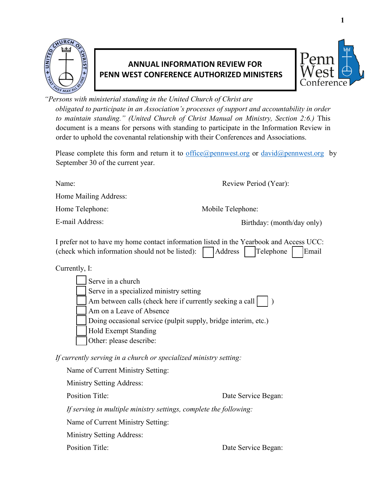

## **ANNUAL INFORMATION REVIEW FOR PENN WEST CONFERENCE AUTHORIZED MINISTERS**



*"Persons with ministerial standing in the United Church of Christ are obligated to participate in an Association's processes of support and accountability in order to maintain standing." (United Church of Christ Manual on Ministry, Section 2:6.)* This document is a means for persons with standing to participate in the Information Review in order to uphold the covenantal relationship with their Conferences and Associations.

Please complete this form and return it to [office@pennwest.org](mailto:office@pennwest.org) or [david@pennwest.org](mailto:david@pennwest.org) by September 30 of the current year.

Name: Review Period (Year):

Home Mailing Address:

Home Telephone: Mobile Telephone:

E-mail Address:

Birthday: (month/day only)

I prefer not to have my home contact information listed in the Yearbook and Access UCC:  $(\text{check which information should not be listed}): \Box$  Address  $\Box$  Telephone  $\Box$  Email

Currently, I:

| Serve in a church                                              |
|----------------------------------------------------------------|
| Serve in a specialized ministry setting                        |
| Am between calls (check here if currently seeking a call       |
| Am on a Leave of Absence                                       |
| Doing occasional service (pulpit supply, bridge interim, etc.) |
| <b>Hold Exempt Standing</b>                                    |
| Other: please describe:                                        |

*If currently serving in a church or specialized ministry setting:* 

Name of Current Ministry Setting: Ministry Setting Address: Position Title: Date Service Began: *If serving in multiple ministry settings, complete the following:*  Name of Current Ministry Setting: Ministry Setting Address: Position Title: Date Service Began:

**1**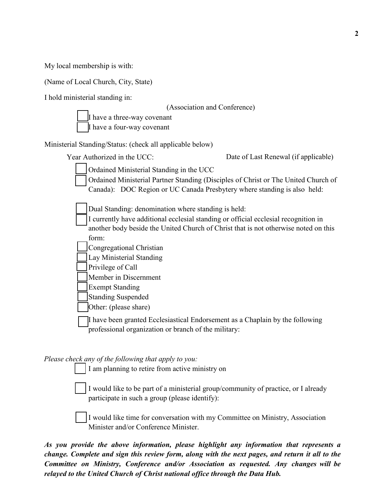My local membership is with:

(Name of Local Church, City, State)

I hold ministerial standing in:

(Association and Conference)



I have a three-way covenant I have a four-way covenant

Ministerial Standing/Status: (check all applicable below)

Year Authorized in the UCC: Date of Last Renewal (if applicable)



Ordained Ministerial Standing in the UCC

Ordained Ministerial Partner Standing (Disciples of Christ or The United Church of Canada): DOC Region or UC Canada Presbytery where standing is also held:

Dual Standing: denomination where standing is held:

I currently have additional ecclesial standing or official ecclesial recognition in another body beside the United Church of Christ that is not otherwise noted on this form:

Congregational Christian

Lay Ministerial Standing

- Privilege of Call
- Member in Discernment
- Exempt Standing
- Standing Suspended

Other: (please share)

I have been granted Ecclesiastical Endorsement as a Chaplain by the following professional organization or branch of the military:

*Please check any of the following that apply to you:* 

I am planning to retire from active ministry on

I would like to be part of a ministerial group/community of practice, or I already participate in such a group (please identify):

I would like time for conversation with my Committee on Ministry, Association Minister and/or Conference Minister.

*As you provide the above information, please highlight any information that represents a change. Complete and sign this review form, along with the next pages, and return it all to the Committee on Ministry, Conference and/or Association as requested. Any changes will be relayed to the United Church of Christ national office through the Data Hub.*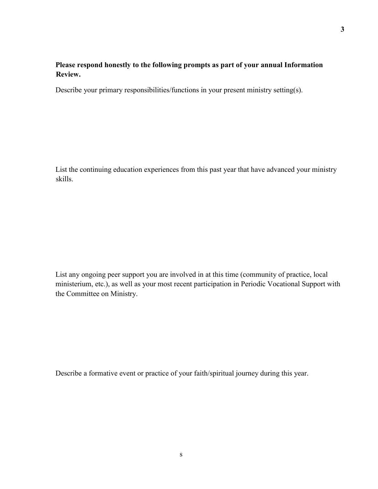## **Please respond honestly to the following prompts as part of your annual Information Review.**

Describe your primary responsibilities/functions in your present ministry setting(s).

List the continuing education experiences from this past year that have advanced your ministry skills.

List any ongoing peer support you are involved in at this time (community of practice, local ministerium, etc.), as well as your most recent participation in Periodic Vocational Support with the Committee on Ministry.

Describe a formative event or practice of your faith/spiritual journey during this year.